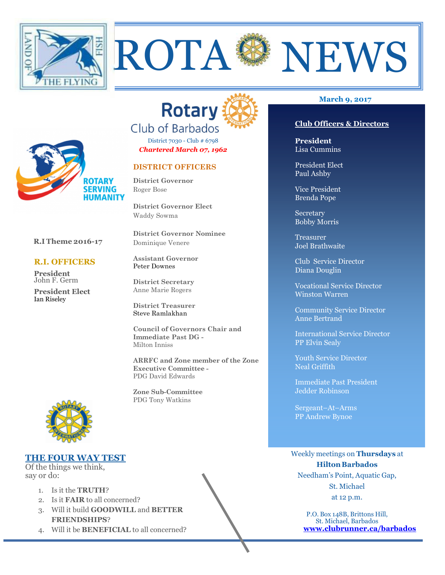



ROTA SENEWS

District 7030 - Club # 6798 *Chartered March 07, 1962* 

## **DISTRICT OFFICERS**

**District Governor** Roger Bose

**District Governor Elect** Waddy Sowma

**District Governor Nominee**  Dominique Venere

**Assistant Governor**  Peter Downes

**District Secretary**  Anne Marie Rogers

**District Treasurer**  Steve Ramlakhan

**Council of Governors Chair and Immediate Past DG -**  Milton Inniss

**ARRFC and Zone member of the Zone Executive Committee -** PDG David Edwards

**Zone Sub-Committee** PDG Tony Watkins

#### **March 9, 2017**

#### **Club Officers & Directors**

**President** Lisa Cummins

President Elect Paul Ashby

Vice President Brenda Pope

Secretary Bobby Morris

Treasurer Joel Brathwaite

Club Service Director Diana Douglin

Vocational Service Director Winston Warren

Community Service Director Anne Bertrand

International Service Director PP Elvin Sealy

Youth Service Director Neal Griffith

Immediate Past President Jedder Robinson

Sergeant–At–Arms PP Andrew Bynoe

Weekly meetings on **Thursdays** at **Hilton Barbados** Needham's Point, Aquatic Gap, St. Michael

at 12 p.m.

P.O. Box 148B, Brittons Hill, St. Michael, Barbados **www.clubrunner.ca/barbados**



 **R.I Theme 2016-17** 

**ROTARY SERVING HUMANITY** 

 **R.I. OFFICERS** 

**President** John F. Germ **President Elect** 

Ian Riseley

#### **THE FOUR WAY TEST**

Of the things we think, say or do:

- 1. Is it the **TRUTH**?
- 2. Is it **FAIR** to all concerned?
- 3. Will it build **GOODWILL** and **BETTER FRIENDSHIPS**?
- 4. Will it be **BENEFICIAL** to all concerned?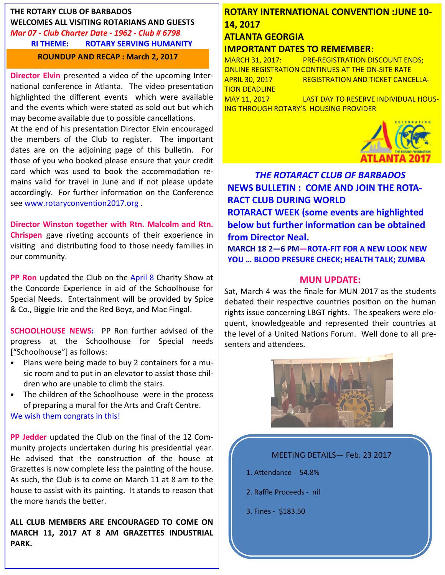## **THE ROTARY CLUB OF BARBADOS WELCOMES ALL VISITING ROTARIANS AND GUESTS**  *Mar 07 - Club Charter Date - 1962 - Club # 6798*  **RI THEME: ROTARY SERVING HUMANITY ROUNDUP AND RECAP : March 2, 2017**

**Director Elvin** presented a video of the upcoming International conference in Atlanta. The video presentation highlighted the different events which were available and the events which were stated as sold out but which may become available due to possible cancellations.

At the end of his presentation Director Elvin encouraged the members of the Club to register. The important dates are on the adjoining page of this bulletin. For those of you who booked please ensure that your credit card which was used to book the accommodation remains valid for travel in June and if not please update accordingly. For further information on the Conference see www.rotaryconvention2017.org.

**Director Winston together with Rtn. Malcolm and Rtn. Chrispen** gave riveting accounts of their experience in visiting and distributing food to those needy families in our community.

**PP Ron** updated the Club on the April 8 Charity Show at the Concorde Experience in aid of the Schoolhouse for Special Needs. Entertainment will be provided by Spice & Co., Biggie Irie and the Red Boyz, and Mac Fingal.

**SCHOOLHOUSE NEWS:** PP Ron further advised of the progress at the Schoolhouse for Special needs ["Schoolhouse"] as follows:

- Plans were being made to buy 2 containers for a music room and to put in an elevator to assist those children who are unable to climb the stairs.
- The children of the Schoolhouse were in the process of preparing a mural for the Arts and Craft Centre. We wish them congrats in this!

**PP Jedder** updated the Club on the final of the 12 Community projects undertaken during his presidential year. He advised that the construction of the house at Grazettes is now complete less the painting of the house. As such, the Club is to come on March 11 at 8 am to the house to assist with its painting. It stands to reason that the more hands the better.

**ALL CLUB MEMBERS ARE ENCOURAGED TO COME ON MARCH 11, 2017 AT 8 AM GRAZETTES INDUSTRIAL PARK.** 

# **ROTARY INTERNATIONAL CONVENTION :JUNE 10- 14, 2017 ATLANTA GEORGIA**

## **IMPORTANT DATES TO REMEMBER**:

MARCH 31, 2017: PRE-REGISTRATION DISCOUNT ENDS; ONLINE REGISTRATION CONTINUES AT THE ON-SITE RATE APRIL 30, 2017 REGISTRATION AND TICKET CANCELLA-TION DEADLINE MAY 11, 2017 LAST DAY TO RESERVE INDIVIDUAL HOUS-ING THROUGH ROTARY'S HOUSING PROVIDER

*THE ROTARACT CLUB OF BARBADOS*  **NEWS BULLETIN : COME AND JOIN THE ROTA-RACT CLUB DURING WORLD ROTARACT WEEK (some events are highlighted below but further information can be obtained from Director Neal.**

**MARCH 18 2—6 PM—ROTA-FIT FOR A NEW LOOK NEW YOU … BLOOD PRESURE CHECK; HEALTH TALK; ZUMBA** 

## **MUN UPDATE:**

Sat, March 4 was the finale for MUN 2017 as the students debated their respective countries position on the human rights issue concerning LBGT rights. The speakers were eloquent, knowledgeable and represented their countries at the level of a United Nations Forum. Well done to all presenters and attendees.



## MEETING DETAILS— Feb. 23 2017

- 1. Attendance 54.8%
- 2. Raffle Proceeds nil
- 3. Fines \$183.50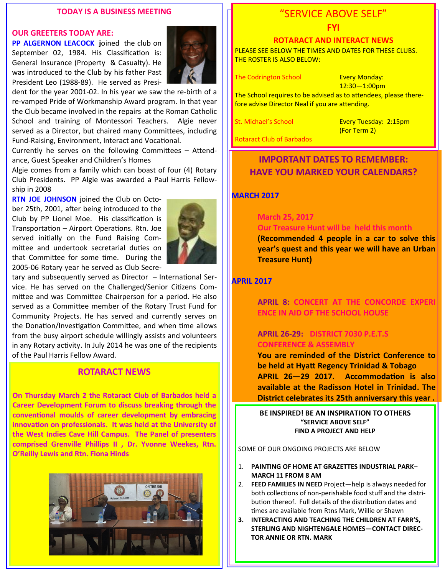#### **TODAY IS A BUSINESS MEETING**

#### **OUR GREETERS TODAY ARE:**

**PP ALGERNON LEACOCK j**oined the club on September 02, 1984. His Classification is: General Insurance (Property & Casualty). He was introduced to the Club by his father Past President Leo (1988-89). He served as Presi-



dent for the year 2001-02. In his year we saw the re-birth of a re-vamped Pride of Workmanship Award program. In that year the Club became involved in the repairs at the Roman Catholic School and training of Montessori Teachers. Algie never served as a Director, but chaired many Committees, including Fund-Raising, Environment, Interact and Vocational.

Currently he serves on the following Committees  $-$  Attendance, Guest Speaker and Children's Homes

Algie comes from a family which can boast of four (4) Rotary Club Presidents. PP Algie was awarded a Paul Harris Fellowship in 2008

**RTN JOE JOHNSON** joined the Club on October 25th, 2001, after being introduced to the Club by PP Lionel Moe. His classification is Transportation – Airport Operations. Rtn. Joe served initially on the Fund Raising Committee and undertook secretarial duties on that Committee for some time. During the 2005-06 Rotary year he served as Club Secre-



tary and subsequently served as Director  $-$  International Service. He has served on the Challenged/Senior Citizens Committee and was Committee Chairperson for a period. He also served as a Committee member of the Rotary Trust Fund for Community Projects. He has served and currently serves on the Donation/Investigation Committee, and when time allows from the busy airport schedule willingly assists and volunteers in any Rotary activity. In July 2014 he was one of the recipients of the Paul Harris Fellow Award.

## **ROTARACT NEWS**

**On Thursday March 2 the Rotaract Club of Barbados held a Career Development Forum to discuss breaking through the**  conventional moulds of career development by embracing innovation on professionals. It was held at the University of **the West Indies Cave Hill Campus. The Panel of presenters comprised Grenville Phillips II , Dr. Yvonne Weekes, Rtn. O'Reilly Lewis and Rtn. Fiona Hinds**



# "SERVICE ABOVE SELF"

#### **FYI**

#### **ROTARACT AND INTERACT NEWS**

PLEASE SEE BELOW THE TIMES AND DATES FOR THESE CLUBS. THE ROSTER IS ALSO BELOW:

The Codrington School **Every Monday:** 

12:30—1:00pm

The School requires to be advised as to attendees, please therefore advise Director Neal if you are attending.

St. Michael's School Every Tuesday: 2:15pm (For Term 2)

Rotaract Club of Barbados

# **IMPORTANT DATES TO REMEMBER: HAVE YOU MARKED YOUR CALENDARS?**

#### **MARCH 2017**

#### **March 25, 2017 Our Treasure Hunt will be held this month**

 **(Recommended 4 people in a car to solve this year's quest and this year we will have an Urban Treasure Hunt)** 

#### **APRIL 2017**

 **APRIL 8: CONCERT AT THE CONCORDE EXPERI ENCE IN AID OF THE SCHOOL HOUSE** 

## **APRIL 26-29: DISTRICT 7030 P.E.T.S CONFERENCE & ASSEMBLY**

 **You are reminded of the District Conference to be held at Hyatt Regency Trinidad & Tobago** APRIL 26-29 2017. Accommodation is also  **available at the Radisson Hotel in Trinidad. The District celebrates its 25th anniversary this year .**

**BE INSPIRED! BE AN INSPIRATION TO OTHERS "SERVICE ABOVE SELF" FIND A PROJECT AND HELP** 

SOME OF OUR ONGOING PROJECTS ARE BELOW

- 1. **PAINTING OF HOME AT GRAZETTES INDUSTRIAL PARK– MARCH 11 FROM 8 AM**
- 2. **FEED FAMILIES IN NEED** Project—help is always needed for both collections of non-perishable food stuff and the distribution thereof. Full details of the distribution dates and times are available from Rtns Mark, Willie or Shawn
- **3. INTERACTING AND TEACHING THE CHILDREN AT FARR'S, STERLING AND NIGHTENGALE HOMES—CONTACT DIREC-TOR ANNIE OR RTN. MARK**